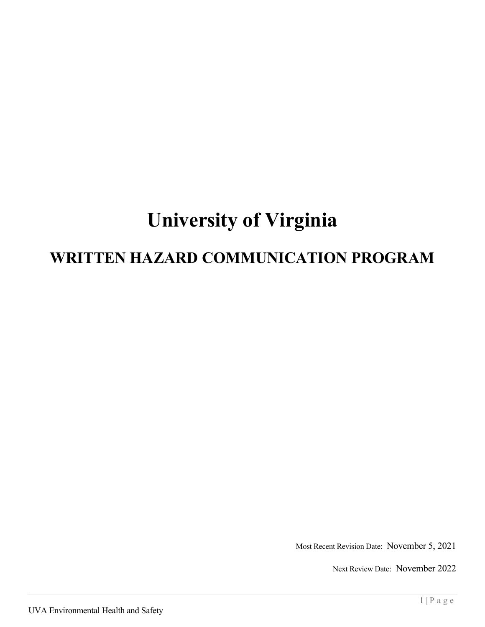# **University of Virginia**

## **WRITTEN HAZARD COMMUNICATION PROGRAM**

Most Recent Revision Date: November 5, 2021

Next Review Date: November 2022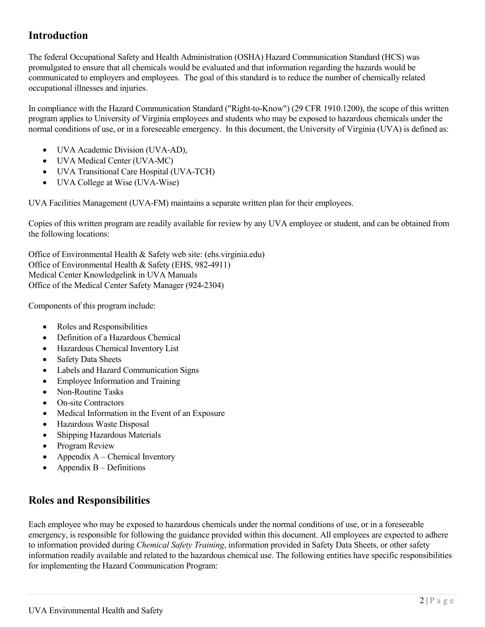## **Introduction**

The federal Occupational Safety and Health Administration (OSHA) Hazard Communication Standard (HCS) was promulgated to ensure that all chemicals would be evaluated and that information regarding the hazards would be communicated to employers and employees. The goal of this standard is to reduce the number of chemically related occupational illnesses and injuries.

In compliance with the Hazard Communication Standard ("Right-to-Know") (29 CFR 1910.1200), the scope of this written program applies to University of Virginia employees and students who may be exposed to hazardous chemicals under the normal conditions of use, or in a foreseeable emergency. In this document, the University of Virginia (UVA) is defined as:

- UVA Academic Division (UVA-AD),
- UVA Medical Center (UVA-MC)
- UVA Transitional Care Hospital (UVA-TCH)
- UVA College at Wise (UVA-Wise)

UVA Facilities Management (UVA-FM) maintains a separate written plan for their employees.

Copies of this written program are readily available for review by any UVA employee or student, and can be obtained from the following locations:

Office of Environmental Health & Safety web site: (ehs.virginia.edu) Office of Environmental Health & Safety (EHS, 982-4911) Medical Center Knowledgelink in UVA Manuals Office of the Medical Center Safety Manager (924-2304)

Components of this program include:

- Roles and Responsibilities
- Definition of a Hazardous Chemical
- Hazardous Chemical Inventory List
- Safety Data Sheets
- Labels and Hazard Communication Signs
- Employee Information and Training
- Non-Routine Tasks
- On-site Contractors
- Medical Information in the Event of an Exposure
- Hazardous Waste Disposal
- Shipping Hazardous Materials
- Program Review
- Appendix  $A -$ Chemical Inventory
- Appendix  $B -$  Definitions

## **Roles and Responsibilities**

Each employee who may be exposed to hazardous chemicals under the normal conditions of use, or in a foreseeable emergency, is responsible for following the guidance provided within this document. All employees are expected to adhere to information provided during *Chemical Safety Training*, information provided in Safety Data Sheets, or other safety information readily available and related to the hazardous chemical use. The following entities have specific responsibilities for implementing the Hazard Communication Program: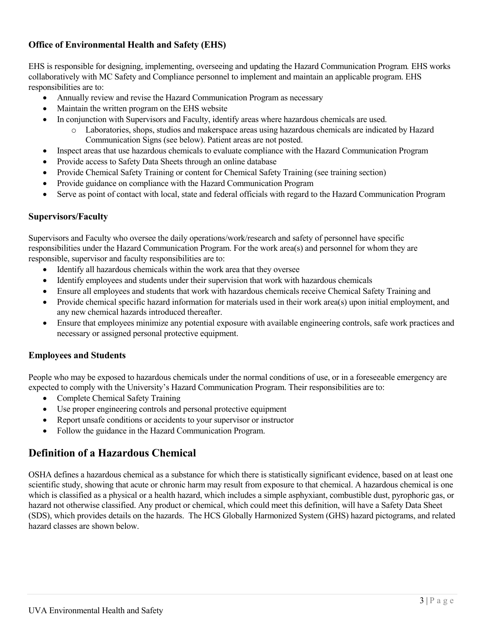#### **Office of Environmental Health and Safety (EHS)**

EHS is responsible for designing, implementing, overseeing and updating the Hazard Communication Program*.* EHS works collaboratively with MC Safety and Compliance personnel to implement and maintain an applicable program. EHS responsibilities are to:

- Annually review and revise the Hazard Communication Program as necessary
- Maintain the written program on the EHS website
- In conjunction with Supervisors and Faculty, identify areas where hazardous chemicals are used.
	- o Laboratories, shops, studios and makerspace areas using hazardous chemicals are indicated by Hazard Communication Signs (see below). Patient areas are not posted.
- Inspect areas that use hazardous chemicals to evaluate compliance with the Hazard Communication Program
- Provide access to Safety Data Sheets through an online database
- Provide Chemical Safety Training or content for Chemical Safety Training (see training section)
- Provide guidance on compliance with the Hazard Communication Program
- Serve as point of contact with local, state and federal officials with regard to the Hazard Communication Program

#### **Supervisors/Faculty**

Supervisors and Faculty who oversee the daily operations/work/research and safety of personnel have specific responsibilities under the Hazard Communication Program. For the work area(s) and personnel for whom they are responsible, supervisor and faculty responsibilities are to:

- Identify all hazardous chemicals within the work area that they oversee
- Identify employees and students under their supervision that work with hazardous chemicals
- Ensure all employees and students that work with hazardous chemicals receive Chemical Safety Training and
- Provide chemical specific hazard information for materials used in their work area(s) upon initial employment, and any new chemical hazards introduced thereafter.
- Ensure that employees minimize any potential exposure with available engineering controls, safe work practices and necessary or assigned personal protective equipment.

#### **Employees and Students**

People who may be exposed to hazardous chemicals under the normal conditions of use, or in a foreseeable emergency are expected to comply with the University's Hazard Communication Program. Their responsibilities are to:

- Complete Chemical Safety Training
- Use proper engineering controls and personal protective equipment
- Report unsafe conditions or accidents to your supervisor or instructor
- Follow the guidance in the Hazard Communication Program.

## **Definition of a Hazardous Chemical**

OSHA defines a hazardous chemical as a substance for which there is statistically significant evidence, based on at least one scientific study, showing that acute or chronic harm may result from exposure to that chemical. A hazardous chemical is one which is classified as a physical or a health hazard, which includes a simple asphyxiant, combustible dust, pyrophoric gas, or hazard not otherwise classified. Any product or chemical, which could meet this definition, will have a Safety Data Sheet (SDS), which provides details on the hazards. The HCS Globally Harmonized System (GHS) hazard pictograms, and related hazard classes are shown below.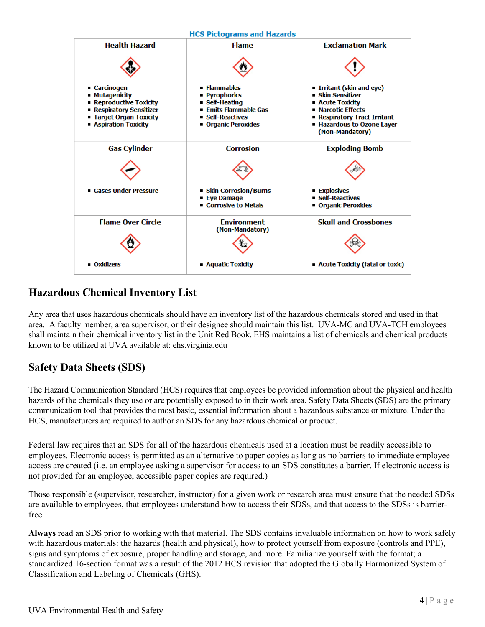

## **Hazardous Chemical Inventory List**

Any area that uses hazardous chemicals should have an inventory list of the hazardous chemicals stored and used in that area. A faculty member, area supervisor, or their designee should maintain this list. UVA-MC and UVA-TCH employees shall maintain their chemical inventory list in the Unit Red Book. EHS maintains a list of chemicals and chemical products known to be utilized at UVA available at: ehs.virginia.edu

## **Safety Data Sheets (SDS)**

The Hazard Communication Standard (HCS) requires that employees be provided information about the physical and health hazards of the chemicals they use or are potentially exposed to in their work area. Safety Data Sheets (SDS) are the primary communication tool that provides the most basic, essential information about a hazardous substance or mixture. Under the HCS, manufacturers are required to author an SDS for any hazardous chemical or product.

Federal law requires that an SDS for all of the hazardous chemicals used at a location must be readily accessible to employees. Electronic access is permitted as an alternative to paper copies as long as no barriers to immediate employee access are created (i.e. an employee asking a supervisor for access to an SDS constitutes a barrier. If electronic access is not provided for an employee, accessible paper copies are required.)

Those responsible (supervisor, researcher, instructor) for a given work or research area must ensure that the needed SDSs are available to employees, that employees understand how to access their SDSs, and that access to the SDSs is barrierfree.

**Always** read an SDS prior to working with that material. The SDS contains invaluable information on how to work safely with hazardous materials: the hazards (health and physical), how to protect yourself from exposure (controls and PPE), signs and symptoms of exposure, proper handling and storage, and more. Familiarize yourself with the format; a standardized 16-section format was a result of the 2012 HCS revision that adopted the Globally Harmonized System of Classification and Labeling of Chemicals (GHS).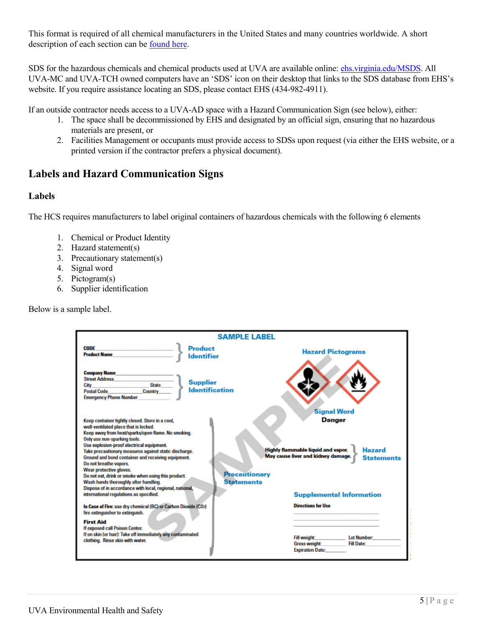This format is required of all chemical manufacturers in the United States and many countries worldwide. A short description of each section can be [found here.](https://www.osha.gov/Publications/HazComm_QuickCard_SafetyData.html)

SDS for the hazardous chemicals and chemical products used at UVA are available online: [ehs.virginia.edu/MSDS.](http://ehs.virginia.edu/MSDS) All UVA-MC and UVA-TCH owned computers have an 'SDS' icon on their desktop that links to the SDS database from EHS's website. If you require assistance locating an SDS, please contact EHS (434-982-4911).

If an outside contractor needs access to a UVA-AD space with a Hazard Communication Sign (see below), either:

- 1. The space shall be decommissioned by EHS and designated by an official sign, ensuring that no hazardous materials are present, or
- 2. Facilities Management or occupants must provide access to SDSs upon request (via either the EHS website, or a printed version if the contractor prefers a physical document).

## **Labels and Hazard Communication Signs**

#### **Labels**

The HCS requires manufacturers to label original containers of hazardous chemicals with the following 6 elements

- 1. Chemical or Product Identity
- 2. Hazard statement(s)
- 3. Precautionary statement(s)
- 4. Signal word
- 5. Pictogram(s)
- 6. Supplier identification

Below is a sample label.

| <b>SAMPLE LAREL</b>                                                                                                                                                                                                                                                                                                                                                                                                                                                                                                                                                                                                                                                                                                                                               |  |                                                                 |                                         |  |  |  |
|-------------------------------------------------------------------------------------------------------------------------------------------------------------------------------------------------------------------------------------------------------------------------------------------------------------------------------------------------------------------------------------------------------------------------------------------------------------------------------------------------------------------------------------------------------------------------------------------------------------------------------------------------------------------------------------------------------------------------------------------------------------------|--|-----------------------------------------------------------------|-----------------------------------------|--|--|--|
| <b>Product</b><br>CODE<br>the control of the control of the control of<br><b>Product Name</b><br><b>Identifier</b>                                                                                                                                                                                                                                                                                                                                                                                                                                                                                                                                                                                                                                                |  | <b>Hazard Pictograms</b>                                        |                                         |  |  |  |
| <b>Company Name</b><br><b>Street Address</b><br><b>Supplier</b><br><b>State</b><br>City<br><b>Identification</b><br><b>Postal Code</b><br>Country<br><b>Emergency Phone Number</b>                                                                                                                                                                                                                                                                                                                                                                                                                                                                                                                                                                                |  |                                                                 |                                         |  |  |  |
| <b>Signal Word</b><br><b>Danger</b><br>Keep container tightly closed. Store in a cool,<br>well-ventilated place that is locked.<br>Keep away from heat/sparks/open flame. No smoking.<br>Only use non-sparking tools.<br>Use explosion-proof electrical equipment.<br>Highly flammable liquid and vapor.<br><b>Hazard</b><br>Take precautionary measures against static discharge.<br>May cause liver and kidney damage.<br>Ground and bond container and receiving equipment.<br><b>Statements</b><br>Do not breathe vapors.<br>Wear protective gloves.<br><b>Precautionary</b><br>Do not eat, drink or smoke when using this product.<br>Wash hands thoroughly after handling.<br><b>Statements</b><br>Dispose of in accordance with local, regional, national, |  |                                                                 |                                         |  |  |  |
| international regulations as specified.<br>In Case of Fire: use dry chemical (BC) or Carbon Dioxide (CO2)<br>fire extinguisher to extinguish.                                                                                                                                                                                                                                                                                                                                                                                                                                                                                                                                                                                                                     |  | <b>Supplemental Information</b><br><b>Directions for Use</b>    |                                         |  |  |  |
| <b>First Aid</b><br>If exposed call Poison Center.<br>If on skin (or hair): Take off immediately any contaminated<br>clothing. Rinse skin with water.                                                                                                                                                                                                                                                                                                                                                                                                                                                                                                                                                                                                             |  | Fill weight:<br><b>Gross weight:</b><br><b>Expiration Date:</b> | <b>Lot Number:</b><br><b>Fill Date:</b> |  |  |  |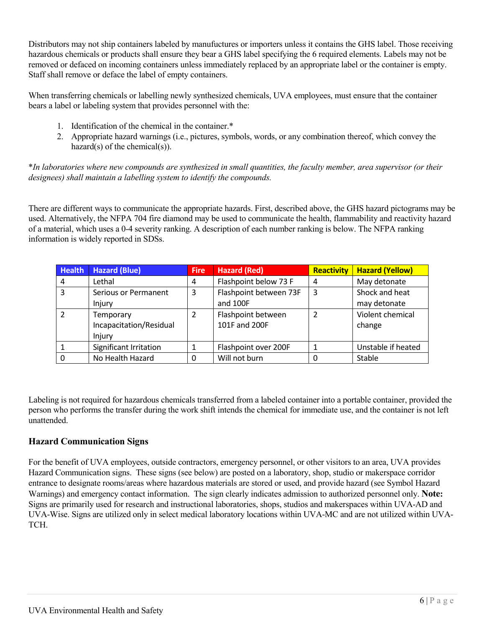Distributors may not ship containers labeled by manufuctures or importers unless it contains the GHS label. Those receiving hazardous chemicals or products shall ensure they bear a GHS label specifying the 6 required elements. Labels may not be removed or defaced on incoming containers unless immediately replaced by an appropriate label or the container is empty. Staff shall remove or deface the label of empty containers.

When transferring chemicals or labelling newly synthesized chemicals, UVA employees, must ensure that the container bears a label or labeling system that provides personnel with the:

- 1. Identification of the chemical in the container.\*
- 2. Appropriate hazard warnings (i.e., pictures, symbols, words, or any combination thereof, which convey the hazard(s) of the chemical(s)).

\**In laboratories where new compounds are synthesized in small quantities, the faculty member, area supervisor (or their designees) shall maintain a labelling system to identify the compounds.*

There are different ways to communicate the appropriate hazards. First, described above, the GHS hazard pictograms may be used. Alternatively, the NFPA 704 fire diamond may be used to communicate the health, flammability and reactivity hazard of a material, which uses a 0-4 severity ranking. A description of each number ranking is below. The NFPA ranking information is widely reported in SDSs.

| <b>Health</b>  | <b>Hazard (Blue)</b>                           | <b>Fire</b> | <b>Hazard (Red)</b>                 | <b>Reactivity</b> | <b>Hazard (Yellow)</b>         |
|----------------|------------------------------------------------|-------------|-------------------------------------|-------------------|--------------------------------|
| 4              | Lethal                                         | 4           | Flashpoint below 73 F               | 4                 | May detonate                   |
| 3              | Serious or Permanent<br>Injury                 | 3           | Flashpoint between 73F<br>and 100F  | 3                 | Shock and heat<br>may detonate |
| $\mathfrak{p}$ | Temporary<br>Incapacitation/Residual<br>Injury | 2           | Flashpoint between<br>101F and 200F | 2                 | Violent chemical<br>change     |
|                | Significant Irritation                         |             | Flashpoint over 200F                |                   | Unstable if heated             |
|                | No Health Hazard                               | 0           | Will not burn                       |                   | Stable                         |

Labeling is not required for hazardous chemicals transferred from a labeled container into a portable container, provided the person who performs the transfer during the work shift intends the chemical for immediate use, and the container is not left unattended.

#### **Hazard Communication Signs**

For the benefit of UVA employees, outside contractors, emergency personnel, or other visitors to an area, UVA provides Hazard Communication signs. These signs (see below) are posted on a laboratory, shop, studio or makerspace corridor entrance to designate rooms/areas where hazardous materials are stored or used, and provide hazard (see Symbol Hazard Warnings) and emergency contact information. The sign clearly indicates admission to authorized personnel only. **Note:**  Signs are primarily used for research and instructional laboratories, shops, studios and makerspaces within UVA-AD and UVA-Wise. Signs are utilized only in select medical laboratory locations within UVA-MC and are not utilized within UVA-TCH.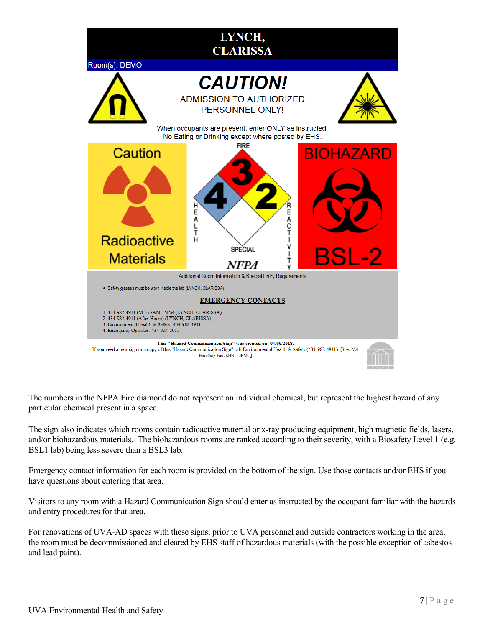

The numbers in the NFPA Fire diamond do not represent an individual chemical, but represent the highest hazard of any particular chemical present in a space.

The sign also indicates which rooms contain radioactive material or x-ray producing equipment, high magnetic fields, lasers, and/or biohazardous materials. The biohazardous rooms are ranked according to their severity, with a Biosafety Level 1 (e.g. BSL1 lab) being less severe than a BSL3 lab.

Emergency contact information for each room is provided on the bottom of the sign. Use those contacts and/or EHS if you have questions about entering that area.

Visitors to any room with a Hazard Communication Sign should enter as instructed by the occupant familiar with the hazards and entry procedures for that area.

For renovations of UVA-AD spaces with these signs, prior to UVA personnel and outside contractors working in the area, the room must be decommissioned and cleared by EHS staff of hazardous materials (with the possible exception of asbestos and lead paint).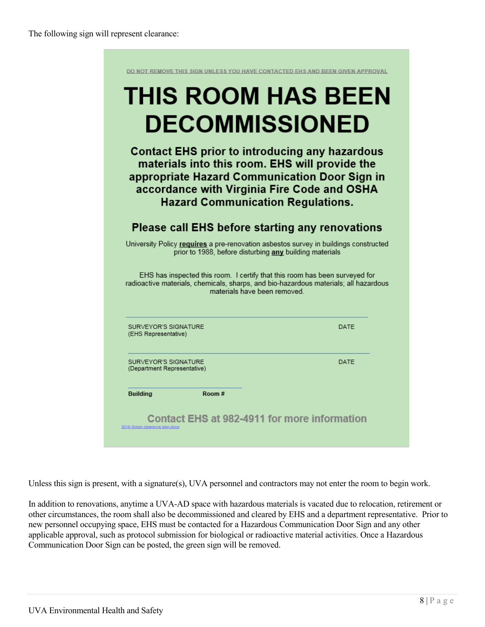|                                                     | <b>DECOMMISSIONED</b>                                                                                                                                                                                                                               |                                                                                      |
|-----------------------------------------------------|-----------------------------------------------------------------------------------------------------------------------------------------------------------------------------------------------------------------------------------------------------|--------------------------------------------------------------------------------------|
|                                                     | <b>Contact EHS prior to introducing any hazardous</b><br>materials into this room. EHS will provide the<br>appropriate Hazard Communication Door Sign in<br>accordance with Virginia Fire Code and OSHA<br><b>Hazard Communication Regulations.</b> |                                                                                      |
|                                                     | Please call EHS before starting any renovations                                                                                                                                                                                                     |                                                                                      |
|                                                     | University Policy requires a pre-renovation asbestos survey in buildings constructed<br>prior to 1988, before disturbing any building materials                                                                                                     |                                                                                      |
|                                                     | EHS has inspected this room. I certify that this room has been surveyed for                                                                                                                                                                         | radioactive materials, chemicals, sharps, and bio-hazardous materials; all hazardous |
|                                                     | materials have been removed.                                                                                                                                                                                                                        |                                                                                      |
| SURVEYOR'S SIGNATURE<br>(EHS Representative)        |                                                                                                                                                                                                                                                     | DATE                                                                                 |
| SURVEYOR'S SIGNATURE<br>(Department Representative) |                                                                                                                                                                                                                                                     | DATF                                                                                 |

Unless this sign is present, with a signature(s), UVA personnel and contractors may not enter the room to begin work.

In addition to renovations, anytime a UVA-AD space with hazardous materials is vacated due to relocation, retirement or other circumstances, the room shall also be decommissioned and cleared by EHS and a department representative. Prior to new personnel occupying space, EHS must be contacted for a Hazardous Communication Door Sign and any other applicable approval, such as protocol submission for biological or radioactive material activities. Once a Hazardous Communication Door Sign can be posted, the green sign will be removed.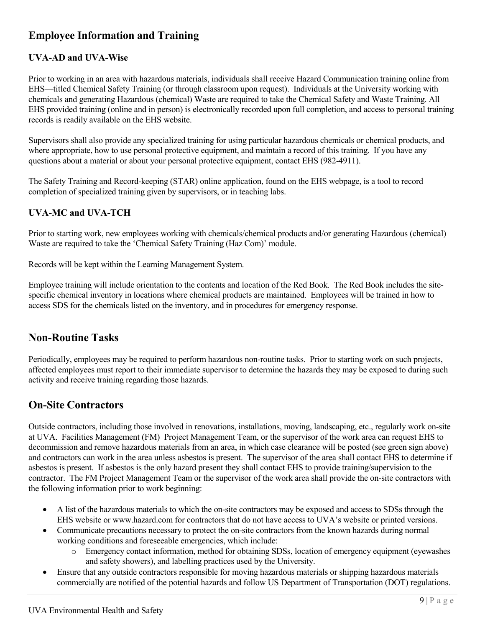## **Employee Information and Training**

#### **UVA-AD and UVA-Wise**

Prior to working in an area with hazardous materials, individuals shall receive Hazard Communication training online from EHS—titled Chemical Safety Training (or through classroom upon request). Individuals at the University working with chemicals and generating Hazardous (chemical) Waste are required to take the Chemical Safety and Waste Training. All EHS provided training (online and in person) is electronically recorded upon full completion, and access to personal training records is readily available on the EHS website.

Supervisors shall also provide any specialized training for using particular hazardous chemicals or chemical products, and where appropriate, how to use personal protective equipment, and maintain a record of this training. If you have any questions about a material or about your personal protective equipment, contact EHS (982-4911).

The Safety Training and Record-keeping (STAR) online application, found on the EHS webpage, is a tool to record completion of specialized training given by supervisors, or in teaching labs.

#### **UVA-MC and UVA-TCH**

Prior to starting work, new employees working with chemicals/chemical products and/or generating Hazardous (chemical) Waste are required to take the 'Chemical Safety Training (Haz Com)' module.

Records will be kept within the Learning Management System.

Employee training will include orientation to the contents and location of the Red Book. The Red Book includes the sitespecific chemical inventory in locations where chemical products are maintained. Employees will be trained in how to access SDS for the chemicals listed on the inventory, and in procedures for emergency response.

#### **Non-Routine Tasks**

Periodically, employees may be required to perform hazardous non-routine tasks. Prior to starting work on such projects, affected employees must report to their immediate supervisor to determine the hazards they may be exposed to during such activity and receive training regarding those hazards.

## **On-Site Contractors**

Outside contractors, including those involved in renovations, installations, moving, landscaping, etc., regularly work on-site at UVA. Facilities Management (FM) Project Management Team, or the supervisor of the work area can request EHS to decommission and remove hazardous materials from an area, in which case clearance will be posted (see green sign above) and contractors can work in the area unless asbestos is present. The supervisor of the area shall contact EHS to determine if asbestos is present. If asbestos is the only hazard present they shall contact EHS to provide training/supervision to the contractor. The FM Project Management Team or the supervisor of the work area shall provide the on-site contractors with the following information prior to work beginning:

- A list of the hazardous materials to which the on-site contractors may be exposed and access to SDSs through the EHS website or www.hazard.com for contractors that do not have access to UVA's website or printed versions.
- Communicate precautions necessary to protect the on-site contractors from the known hazards during normal working conditions and foreseeable emergencies, which include:
	- o Emergency contact information, method for obtaining SDSs, location of emergency equipment (eyewashes and safety showers), and labelling practices used by the University.
- Ensure that any outside contractors responsible for moving hazardous materials or shipping hazardous materials commercially are notified of the potential hazards and follow US Department of Transportation (DOT) regulations.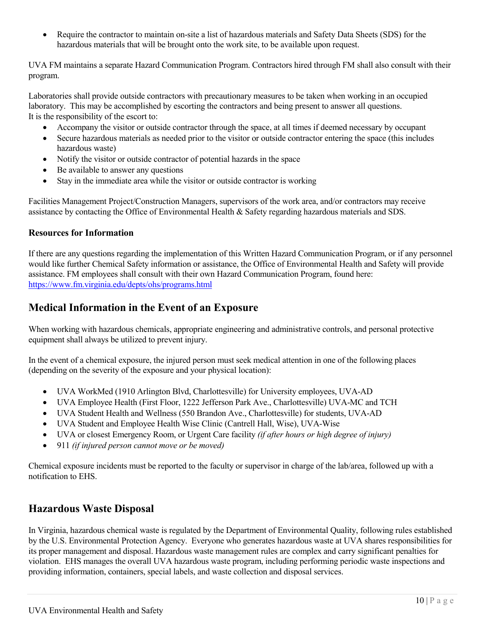• Require the contractor to maintain on-site a list of hazardous materials and Safety Data Sheets (SDS) for the hazardous materials that will be brought onto the work site, to be available upon request.

UVA FM maintains a separate Hazard Communication Program. Contractors hired through FM shall also consult with their program.

Laboratories shall provide outside contractors with precautionary measures to be taken when working in an occupied laboratory. This may be accomplished by escorting the contractors and being present to answer all questions. It is the responsibility of the escort to:

- Accompany the visitor or outside contractor through the space, at all times if deemed necessary by occupant
- Secure hazardous materials as needed prior to the visitor or outside contractor entering the space (this includes hazardous waste)
- Notify the visitor or outside contractor of potential hazards in the space
- Be available to answer any questions
- Stay in the immediate area while the visitor or outside contractor is working

Facilities Management Project/Construction Managers, supervisors of the work area, and/or contractors may receive assistance by contacting the Office of Environmental Health & Safety regarding hazardous materials and SDS.

#### **Resources for Information**

If there are any questions regarding the implementation of this Written Hazard Communication Program, or if any personnel would like further Chemical Safety information or assistance, the Office of Environmental Health and Safety will provide assistance. FM employees shall consult with their own Hazard Communication Program, found here: <https://www.fm.virginia.edu/depts/ohs/programs.html>

### **Medical Information in the Event of an Exposure**

When working with hazardous chemicals, appropriate engineering and administrative controls, and personal protective equipment shall always be utilized to prevent injury.

In the event of a chemical exposure, the injured person must seek medical attention in one of the following places (depending on the severity of the exposure and your physical location):

- UVA WorkMed (1910 Arlington Blvd, Charlottesville) for University employees, UVA-AD
- UVA Employee Health (First Floor, 1222 Jefferson Park Ave., Charlottesville) UVA-MC and TCH
- UVA Student Health and Wellness (550 Brandon Ave., Charlottesville) for students, UVA-AD
- UVA Student and Employee Health Wise Clinic (Cantrell Hall, Wise), UVA-Wise
- UVA or closest Emergency Room, or Urgent Care facility *(if after hours or high degree of injury)*
- 911 *(if injured person cannot move or be moved)*

Chemical exposure incidents must be reported to the faculty or supervisor in charge of the lab/area, followed up with a notification to EHS.

## **Hazardous Waste Disposal**

In Virginia, hazardous chemical waste is regulated by the Department of Environmental Quality, following rules established by the U.S. Environmental Protection Agency. Everyone who generates hazardous waste at UVA shares responsibilities for its proper management and disposal. Hazardous waste management rules are complex and carry significant penalties for violation. EHS manages the overall UVA hazardous waste program, including performing periodic waste inspections and providing information, containers, special labels, and waste collection and disposal services.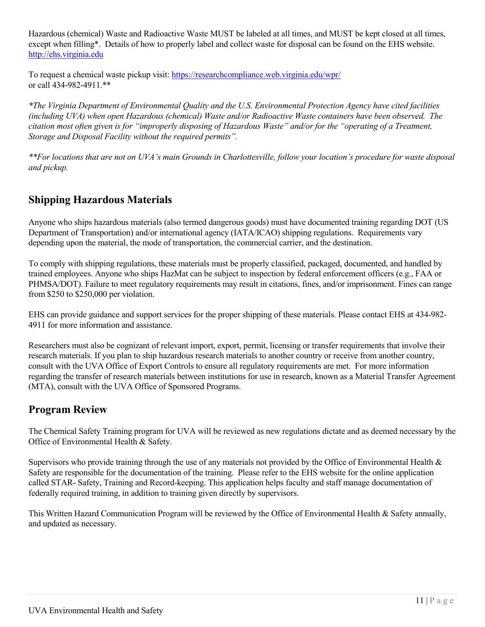Hazardous (chemical) Waste and Radioactive Waste MUST be labeled at all times, and MUST be kept closed at all times, except when filling\*. Details of how to properly label and collect waste for disposal can be found on the EHS website. [http://ehs.virginia.edu](http://ehs.virginia.edu/)

To request a chemical waste pickup visit:<https://researchcompliance.web.virginia.edu/wpr/> or call 434-982-4911.\*\*

*\*The Virginia Department of Environmental Quality and the U.S. Environmental Protection Agency have cited facilities (including UVA) when open Hazardous (chemical) Waste and/or Radioactive Waste containers have been observed. The citation most often given is for "improperly disposing of Hazardous Waste" and/or for the "operating of a Treatment, Storage and Disposal Facility without the required permits".*

*\*\*For locations that are not on UVA's main Grounds in Charlottesville, follow your location's procedure for waste disposal and pickup.* 

## **Shipping Hazardous Materials**

Anyone who ships hazardous materials (also termed dangerous goods) must have documented training regarding DOT (US Department of Transportation) and/or international agency (IATA/ICAO) shipping regulations. Requirements vary depending upon the material, the mode of transportation, the commercial carrier, and the destination.

To comply with shipping regulations, these materials must be properly classified, packaged, documented, and handled by trained employees. Anyone who ships HazMat can be subject to inspection by federal enforcement officers (e.g., FAA or PHMSA/DOT). Failure to meet regulatory requirements may result in citations, fines, and/or imprisonment. Fines can range from \$250 to \$250,000 per violation.

EHS can provide guidance and support services for the proper shipping of these materials. Please contact EHS at 434-982- 4911 for more information and assistance.

Researchers must also be cognizant of relevant import, export, permit, licensing or transfer requirements that involve their research materials. If you plan to ship hazardous research materials to another country or receive from another country, consult with the UVA Office of Export Controls to ensure all regulatory requirements are met. For more information regarding the transfer of research materials between institutions for use in research, known as a Material Transfer Agreement (MTA), consult with the UVA Office of Sponsored Programs.

## **Program Review**

The Chemical Safety Training program for UVA will be reviewed as new regulations dictate and as deemed necessary by the Office of Environmental Health & Safety.

Supervisors who provide training through the use of any materials not provided by the Office of Environmental Health  $\&$ Safety are responsible for the documentation of the training. Please refer to the EHS website for the online application called STAR- Safety, Training and Record-keeping. This application helps faculty and staff manage documentation of federally required training, in addition to training given directly by supervisors.

This Written Hazard Communication Program will be reviewed by the Office of Environmental Health & Safety annually, and updated as necessary.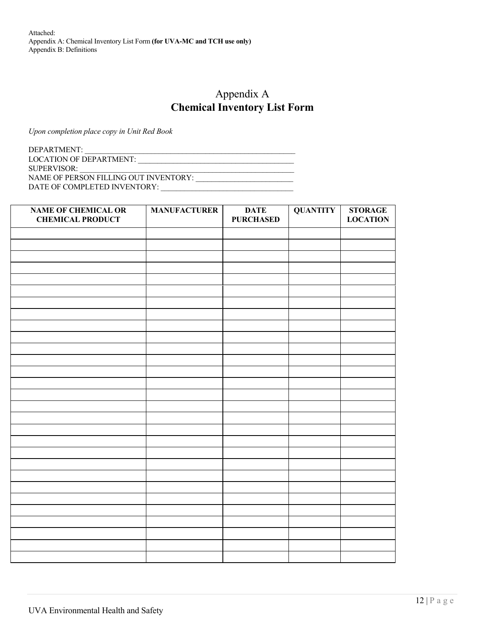Attached: Appendix A: Chemical Inventory List Form **(for UVA-MC and TCH use only)** Appendix B: Definitions

## Appendix A **Chemical Inventory List Form**

*Upon completion place copy in Unit Red Book*

DEPARTMENT: LOCATION OF DEPARTMENT: \_\_\_\_\_\_\_\_\_\_\_\_\_\_\_\_\_\_\_\_\_\_\_\_\_\_\_\_\_\_\_\_\_\_\_\_\_\_\_\_ SUPERVISOR: NAME OF PERSON FILLING OUT INVENTORY: \_\_\_\_\_\_\_\_\_\_\_\_\_\_\_\_\_\_\_\_\_\_\_\_\_

DATE OF COMPLETED INVENTORY: \_\_\_\_\_\_\_\_\_\_\_\_\_\_\_\_\_\_\_\_\_\_\_\_\_\_\_\_\_\_\_\_\_\_

| <b>NAME OF CHEMICAL OR</b><br><b>CHEMICAL PRODUCT</b> | <b>MANUFACTURER</b> | <b>DATE</b><br><b>PURCHASED</b> | <b>QUANTITY</b> | <b>STORAGE</b><br><b>LOCATION</b> |
|-------------------------------------------------------|---------------------|---------------------------------|-----------------|-----------------------------------|
|                                                       |                     |                                 |                 |                                   |
|                                                       |                     |                                 |                 |                                   |
|                                                       |                     |                                 |                 |                                   |
|                                                       |                     |                                 |                 |                                   |
|                                                       |                     |                                 |                 |                                   |
|                                                       |                     |                                 |                 |                                   |
|                                                       |                     |                                 |                 |                                   |
|                                                       |                     |                                 |                 |                                   |
|                                                       |                     |                                 |                 |                                   |
|                                                       |                     |                                 |                 |                                   |
|                                                       |                     |                                 |                 |                                   |
|                                                       |                     |                                 |                 |                                   |
|                                                       |                     |                                 |                 |                                   |
|                                                       |                     |                                 |                 |                                   |
|                                                       |                     |                                 |                 |                                   |
|                                                       |                     |                                 |                 |                                   |
|                                                       |                     |                                 |                 |                                   |
|                                                       |                     |                                 |                 |                                   |
|                                                       |                     |                                 |                 |                                   |
|                                                       |                     |                                 |                 |                                   |
|                                                       |                     |                                 |                 |                                   |
|                                                       |                     |                                 |                 |                                   |
|                                                       |                     |                                 |                 |                                   |
|                                                       |                     |                                 |                 |                                   |
|                                                       |                     |                                 |                 |                                   |
|                                                       |                     |                                 |                 |                                   |
|                                                       |                     |                                 |                 |                                   |
|                                                       |                     |                                 |                 |                                   |
|                                                       |                     |                                 |                 |                                   |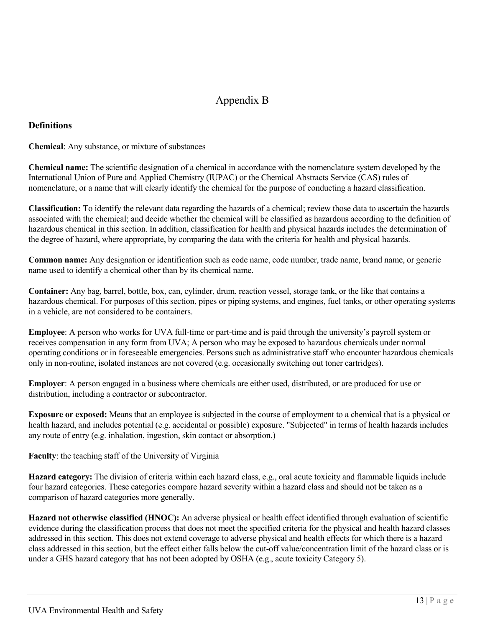## Appendix B

#### **Definitions**

**Chemical**: Any substance, or mixture of substances

**Chemical name:** The scientific designation of a chemical in accordance with the nomenclature system developed by the International Union of Pure and Applied Chemistry (IUPAC) or the Chemical Abstracts Service (CAS) rules of nomenclature, or a name that will clearly identify the chemical for the purpose of conducting a hazard classification.

**Classification:** To identify the relevant data regarding the hazards of a chemical; review those data to ascertain the hazards associated with the chemical; and decide whether the chemical will be classified as hazardous according to the definition of hazardous chemical in this section. In addition, classification for health and physical hazards includes the determination of the degree of hazard, where appropriate, by comparing the data with the criteria for health and physical hazards.

**Common name:** Any designation or identification such as code name, code number, trade name, brand name, or generic name used to identify a chemical other than by its chemical name.

**Container:** Any bag, barrel, bottle, box, can, cylinder, drum, reaction vessel, storage tank, or the like that contains a hazardous chemical. For purposes of this section, pipes or piping systems, and engines, fuel tanks, or other operating systems in a vehicle, are not considered to be containers.

**Employee**: A person who works for UVA full-time or part-time and is paid through the university's payroll system or receives compensation in any form from UVA; A person who may be exposed to hazardous chemicals under normal operating conditions or in foreseeable emergencies. Persons such as administrative staff who encounter hazardous chemicals only in non-routine, isolated instances are not covered (e.g. occasionally switching out toner cartridges).

**Employer**: A person engaged in a business where chemicals are either used, distributed, or are produced for use or distribution, including a contractor or subcontractor.

**Exposure or exposed:** Means that an employee is subjected in the course of employment to a chemical that is a physical or health hazard, and includes potential (e.g. accidental or possible) exposure. "Subjected" in terms of health hazards includes any route of entry (e.g. inhalation, ingestion, skin contact or absorption.)

**Faculty**: the teaching staff of the University of Virginia

**Hazard category:** The division of criteria within each hazard class, e.g., oral acute toxicity and flammable liquids include four hazard categories. These categories compare hazard severity within a hazard class and should not be taken as a comparison of hazard categories more generally.

**Hazard not otherwise classified (HNOC):** An adverse physical or health effect identified through evaluation of scientific evidence during the classification process that does not meet the specified criteria for the physical and health hazard classes addressed in this section. This does not extend coverage to adverse physical and health effects for which there is a hazard class addressed in this section, but the effect either falls below the cut-off value/concentration limit of the hazard class or is under a GHS hazard category that has not been adopted by OSHA (e.g., acute toxicity Category 5).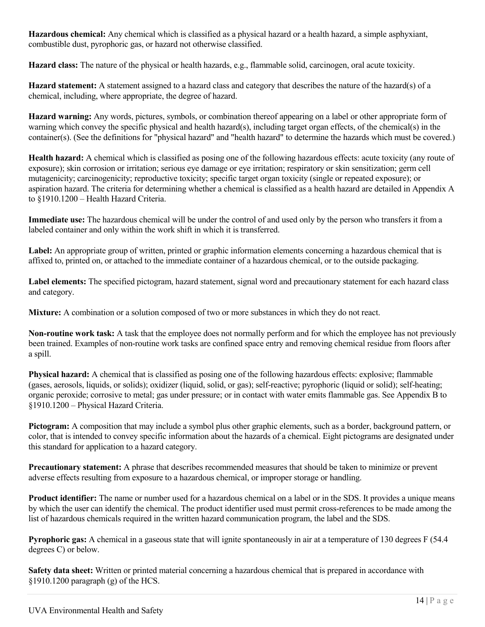**Hazardous chemical:** Any chemical which is classified as a physical hazard or a health hazard, a simple asphyxiant, combustible dust, pyrophoric gas, or hazard not otherwise classified.

**Hazard class:** The nature of the physical or health hazards, e.g., flammable solid, carcinogen, oral acute toxicity.

**Hazard statement:** A statement assigned to a hazard class and category that describes the nature of the hazard(s) of a chemical, including, where appropriate, the degree of hazard.

**Hazard warning:** Any words, pictures, symbols, or combination thereof appearing on a label or other appropriate form of warning which convey the specific physical and health hazard(s), including target organ effects, of the chemical(s) in the container(s). (See the definitions for "physical hazard" and "health hazard" to determine the hazards which must be covered.)

**Health hazard:** A chemical which is classified as posing one of the following hazardous effects: acute toxicity (any route of exposure); skin corrosion or irritation; serious eye damage or eye irritation; respiratory or skin sensitization; germ cell mutagenicity; carcinogenicity; reproductive toxicity; specific target organ toxicity (single or repeated exposure); or aspiration hazard. The criteria for determining whether a chemical is classified as a health hazard are detailed in Appendix A to §1910.1200 – Health Hazard Criteria.

**Immediate use:** The hazardous chemical will be under the control of and used only by the person who transfers it from a labeled container and only within the work shift in which it is transferred.

**Label:** An appropriate group of written, printed or graphic information elements concerning a hazardous chemical that is affixed to, printed on, or attached to the immediate container of a hazardous chemical, or to the outside packaging.

**Label elements:** The specified pictogram, hazard statement, signal word and precautionary statement for each hazard class and category.

**Mixture:** A combination or a solution composed of two or more substances in which they do not react.

**Non-routine work task:** A task that the employee does not normally perform and for which the employee has not previously been trained. Examples of non-routine work tasks are confined space entry and removing chemical residue from floors after a spill.

**Physical hazard:** A chemical that is classified as posing one of the following hazardous effects: explosive; flammable (gases, aerosols, liquids, or solids); oxidizer (liquid, solid, or gas); self-reactive; pyrophoric (liquid or solid); self-heating; organic peroxide; corrosive to metal; gas under pressure; or in contact with water emits flammable gas. See Appendix B to §1910.1200 – Physical Hazard Criteria.

**Pictogram:** A composition that may include a symbol plus other graphic elements, such as a border, background pattern, or color, that is intended to convey specific information about the hazards of a chemical. Eight pictograms are designated under this standard for application to a hazard category.

**Precautionary statement:** A phrase that describes recommended measures that should be taken to minimize or prevent adverse effects resulting from exposure to a hazardous chemical, or improper storage or handling.

**Product identifier:** The name or number used for a hazardous chemical on a label or in the SDS. It provides a unique means by which the user can identify the chemical. The product identifier used must permit cross-references to be made among the list of hazardous chemicals required in the written hazard communication program, the label and the SDS.

**Pyrophoric gas:** A chemical in a gaseous state that will ignite spontaneously in air at a temperature of 130 degrees F (54.4) degrees C) or below.

**Safety data sheet:** Written or printed material concerning a hazardous chemical that is prepared in accordance with  $§1910.1200$  paragraph (g) of the HCS.